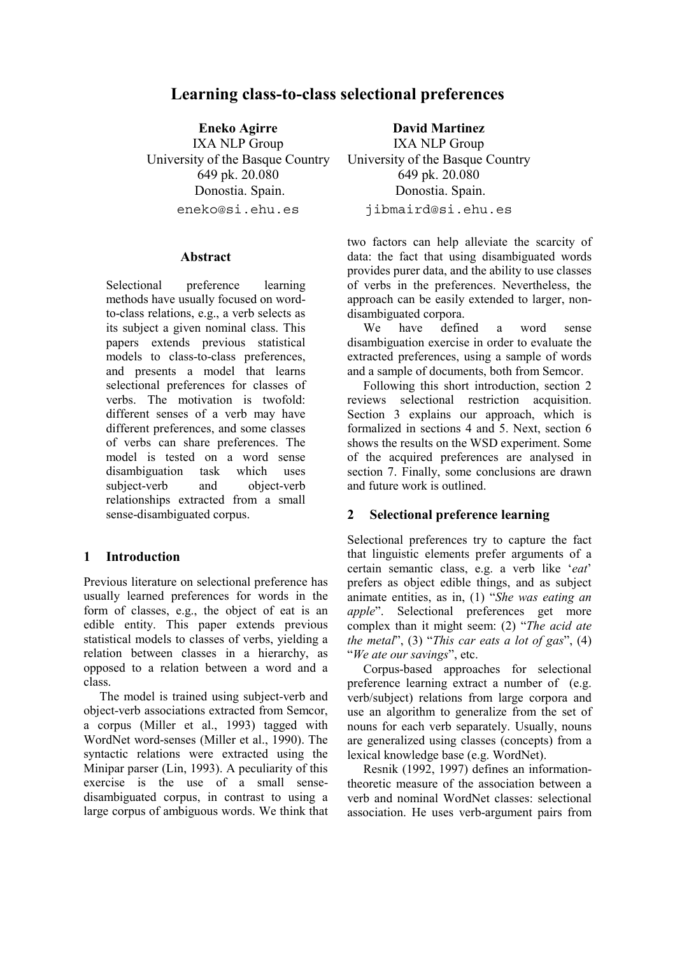# **Learning class-to-class selectional preferences**

**Eneko Agirre** IXA NLP Group University of the Basque Country 649 pk. 20.080 Donostia. Spain. eneko@si.ehu.es

#### **Abstract**

Selectional preference learning methods have usually focused on wordto-class relations, e.g., a verb selects as its subject a given nominal class. This papers extends previous statistical models to class-to-class preferences, and presents a model that learns selectional preferences for classes of verbs. The motivation is twofold: different senses of a verb may have different preferences, and some classes of verbs can share preferences. The model is tested on a word sense disambiguation task which uses subject-verb and object-verb relationships extracted from a small sense-disambiguated corpus.

### **1 Introduction**

Previous literature on selectional preference has usually learned preferences for words in the form of classes, e.g., the object of eat is an edible entity. This paper extends previous statistical models to classes of verbs, yielding a relation between classes in a hierarchy, as opposed to a relation between a word and a class.

The model is trained using subject-verb and object-verb associations extracted from Semcor, a corpus (Miller et al., 1993) tagged with WordNet word-senses (Miller et al., 1990). The syntactic relations were extracted using the Minipar parser (Lin, 1993). A peculiarity of this exercise is the use of a small sensedisambiguated corpus, in contrast to using a large corpus of ambiguous words. We think that

**David Martinez**

IXA NLP Group University of the Basque Country 649 pk. 20.080 Donostia. Spain. jibmaird@si.ehu.es

two factors can help alleviate the scarcity of data: the fact that using disambiguated words provides purer data, and the ability to use classes of verbs in the preferences. Nevertheless, the approach can be easily extended to larger, nondisambiguated corpora.

We have defined a word sense disambiguation exercise in order to evaluate the extracted preferences, using a sample of words and a sample of documents, both from Semcor.

Following this short introduction, section 2 reviews selectional restriction acquisition. Section 3 explains our approach, which is formalized in sections 4 and 5. Next, section 6 shows the results on the WSD experiment. Some of the acquired preferences are analysed in section 7. Finally, some conclusions are drawn and future work is outlined.

### **2 Selectional preference learning**

Selectional preferences try to capture the fact that linguistic elements prefer arguments of a certain semantic class, e.g. a verb like '*eat*' prefers as object edible things, and as subject animate entities, as in, (1) "*She was eating an apple*". Selectional preferences get more complex than it might seem: (2) "*The acid ate the metal*", (3) "*This car eats a lot of gas*", (4) "*We ate our savings*", etc.

Corpus-based approaches for selectional preference learning extract a number of (e.g. verb/subject) relations from large corpora and use an algorithm to generalize from the set of nouns for each verb separately. Usually, nouns are generalized using classes (concepts) from a lexical knowledge base (e.g. WordNet).

Resnik (1992, 1997) defines an informationtheoretic measure of the association between a verb and nominal WordNet classes: selectional association. He uses verb-argument pairs from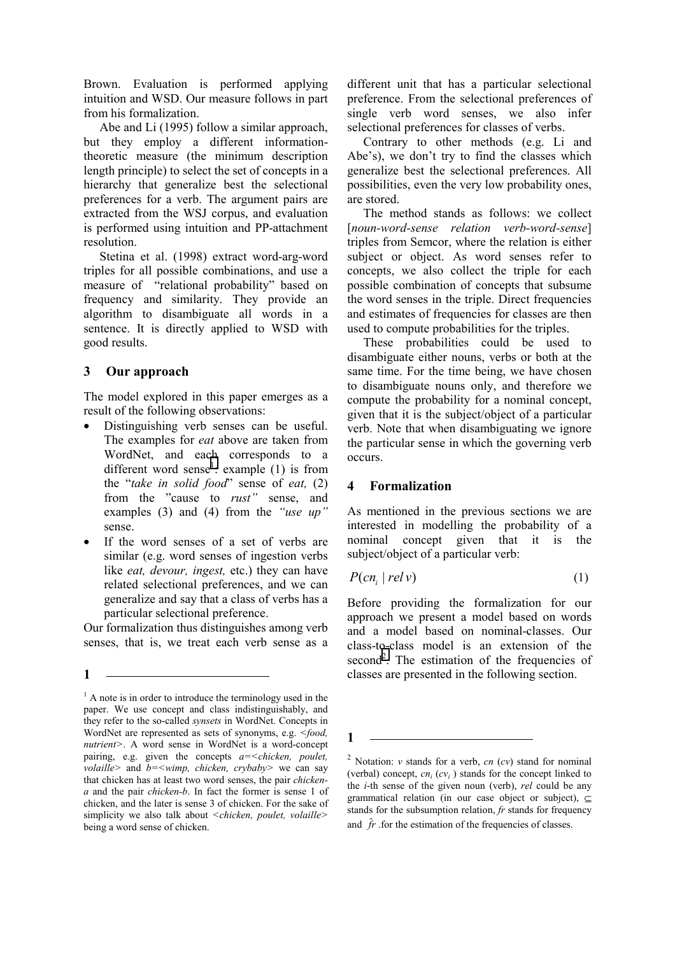Brown. Evaluation is performed applying intuition and WSD. Our measure follows in part from his formalization.

Abe and Li (1995) follow a similar approach, but they employ a different informationtheoretic measure (the minimum description length principle) to select the set of concepts in a hierarchy that generalize best the selectional preferences for a verb. The argument pairs are extracted from the WSJ corpus, and evaluation is performed using intuition and PP-attachment resolution.

Stetina et al. (1998) extract word-arg-word triples for all possible combinations, and use a measure of "relational probability" based on frequency and similarity. They provide an algorithm to disambiguate all words in a sentence. It is directly applied to WSD with good results.

## **3 Our approach**

The model explored in this paper emerges as a result of the following observations:

- Distinguishing verb senses can be useful. The examples for *eat* above are taken from WordNet, and each corresponds to a different word sense<sup>1</sup>: example (1) is from the "*take in solid food*" sense of *eat,* (2) from the "cause to *rust"* sense, and examples (3) and (4) from the *"use up"*  sense.
- If the word senses of a set of verbs are similar (e.g. word senses of ingestion verbs like *eat, devour, ingest,* etc.) they can have related selectional preferences, and we can generalize and say that a class of verbs has a particular selectional preference.

Our formalization thus distinguishes among verb senses, that is, we treat each verb sense as a

**1** 

different unit that has a particular selectional preference. From the selectional preferences of single verb word senses, we also infer selectional preferences for classes of verbs.

Contrary to other methods (e.g. Li and Abe's), we don't try to find the classes which generalize best the selectional preferences. All possibilities, even the very low probability ones, are stored.

The method stands as follows: we collect [*noun-word-sense relation verb-word-sense*] triples from Semcor, where the relation is either subject or object. As word senses refer to concepts, we also collect the triple for each possible combination of concepts that subsume the word senses in the triple. Direct frequencies and estimates of frequencies for classes are then used to compute probabilities for the triples.

These probabilities could be used to disambiguate either nouns, verbs or both at the same time. For the time being, we have chosen to disambiguate nouns only, and therefore we compute the probability for a nominal concept, given that it is the subject/object of a particular verb. Note that when disambiguating we ignore the particular sense in which the governing verb occurs.

## **4 Formalization**

As mentioned in the previous sections we are interested in modelling the probability of a nominal concept given that it is the subject/object of a particular verb:

$$
P(cn_i | relv) \tag{1}
$$

Before providing the formalization for our approach we present a model based on words and a model based on nominal-classes. Our class-to-class model is an extension of the second<sup>2</sup>. The estimation of the frequencies of classes are presented in the following section.

**1** 

<sup>&</sup>lt;sup>1</sup> A note is in order to introduce the terminology used in the paper. We use concept and class indistinguishably, and they refer to the so-called *synsets* in WordNet. Concepts in WordNet are represented as sets of synonyms, e.g. *<food, nutrient>*. A word sense in WordNet is a word-concept pairing, e.g. given the concepts *a=<chicken, poulet, volaille>* and *b=<wimp, chicken, crybaby>* we can say that chicken has at least two word senses, the pair *chickena* and the pair *chicken-b*. In fact the former is sense 1 of chicken, and the later is sense 3 of chicken. For the sake of simplicity we also talk about *<chicken, poulet, volaille>* being a word sense of chicken.

<sup>&</sup>lt;sup>2</sup> Notation: *v* stands for a verb, *cn* (*cv*) stand for nominal (verbal) concept,  $cn_i$  ( $cv_i$ ) stands for the concept linked to the *i*-th sense of the given noun (verb), *rel* could be any grammatical relation (in our case object or subject),  $\subseteq$ stands for the subsumption relation, *fr* stands for frequency and  $\hat{f}$ . for the estimation of the frequencies of classes.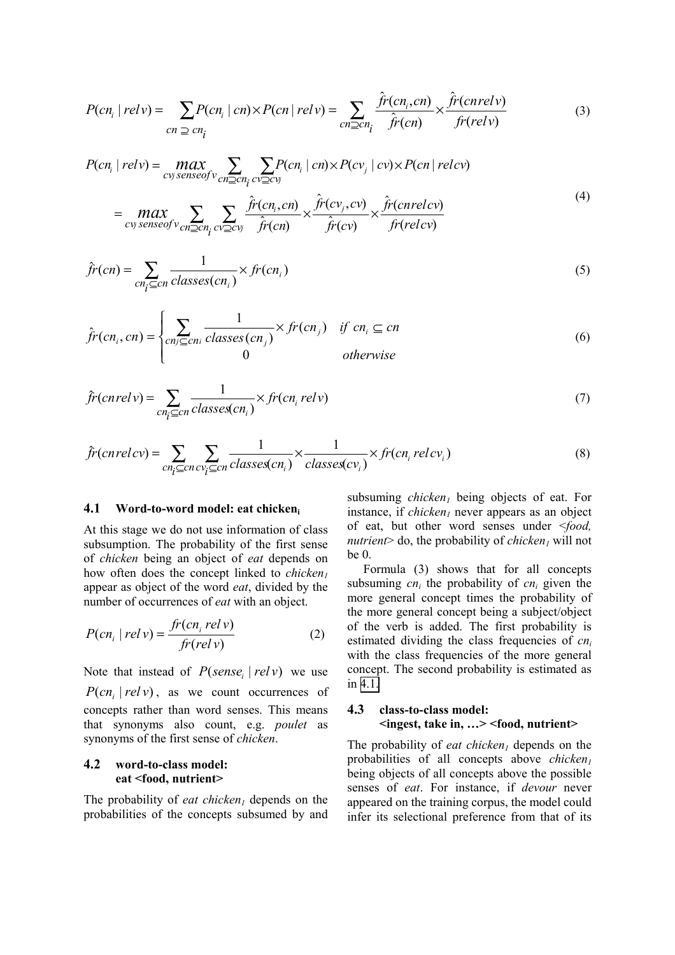$$
P(cn_i | rely) = \sum_{cn \supseteq cn_i} P(cn_i | cn) \times P(cn | rely) = \sum_{cn \supseteq cn_i} \frac{\hat{fr}(cn_i, cn)}{\hat{fr}(cn)} \times \frac{\hat{fr}(cn relv)}{\hat{fr}(relv)} \tag{3}
$$

$$
P(cn_i \mid rely) = \max_{cvg \text{ senseof } v} \sum_{cn \ge cn_i} \sum_{cv \ge cv_j} P(cn_i \mid cn) \times P(cv_j \mid cv) \times P(cn \mid relcv)
$$
\n
$$
\hat{f}(c, c) = \sum_{i=1}^{n} \hat{f}(c, c) \times \hat{f}(c, c) \quad (4)
$$

$$
= \max_{\text{cvy senseof } v} \sum_{\text{cn}\geq\text{cn}_i} \sum_{\text{cv2cv_j}} \frac{\hat{fr}(cn_i, cn)}{\hat{fr}(cn)} \times \frac{\hat{fr}(cv_j, cv)}{\hat{fr}(cv)} \times \frac{\hat{fr}(cnrelcv)}{\hat{fr}(relcv)} \tag{4}
$$

$$
\hat{f}r(cn) = \sum_{cn_i \subseteq cn} \frac{1}{classes(cn_i)} \times fr(cn_i)
$$
\n(5)

$$
\hat{f}r(cn_i, cn) = \begin{cases}\n\sum_{cn_j \subseteq cn_i} \frac{1}{classes(cn_j)} \times fr(cn_j) & \text{if } cn_i \subseteq cn \\
0 & \text{otherwise}\n\end{cases}
$$
\n(6)

$$
\hat{f}r(cnrelv) = \sum_{cn_i \subseteq cn} \frac{1}{classes(cn_i)} \times fr(cn_i relv)
$$
\n(7)

$$
\hat{f}r(cnrelcv) = \sum_{cn_i \subseteq cn \, cv_i \subseteq cn} \frac{1}{classes(cn_i)} \times \frac{1}{classes(cv_i)} \times fr(cn_i \, relcv_i)
$$
\n(8)

#### **4.1 Word-to-word model: eat chickeni**

At this stage we do not use information of class subsumption. The probability of the first sense of *chicken* being an object of *eat* depends on how often does the concept linked to *chicken*<sup>1</sup> appear as object of the word *eat*, divided by the number of occurrences of *eat* with an object.

$$
P(cn_i | relv) = \frac{fr(cn_i relv)}{fr-relv)}\tag{2}
$$

Note that instead of  $P(sense, | relv)$  we use  $P(cn, | relv)$ , as we count occurrences of concepts rather than word senses. This means that synonyms also count, e.g. *poulet* as synonyms of the first sense of *chicken*.

#### **4.2 word-to-class model: eat <food, nutrient>**

The probability of *eat chicken<sub>1</sub>* depends on the probabilities of the concepts subsumed by and subsuming *chicken*<sup>l</sup> being objects of eat. For instance, if  $chicken_1$  never appears as an object of eat, but other word senses under <*food, nutrient* alo, the probability of *chicken will not*  $be<sub>0</sub>$ 

Formula (3) shows that for all concepts subsuming  $cn_i$  the probability of  $cn_i$  given the more general concept times the probability of the more general concept being a subject/object of the verb is added. The first probability is estimated dividing the class frequencies of *cni* with the class frequencies of the more general concept. The second probability is estimated as in 4.1.

## **4.3 class-to-class model: <ingest, take in, …> <food, nutrient>**

The probability of *eat chicken* depends on the probabilities of all concepts above *chicken*<sup>1</sup> being objects of all concepts above the possible senses of *eat*. For instance, if *devour* never appeared on the training corpus, the model could infer its selectional preference from that of its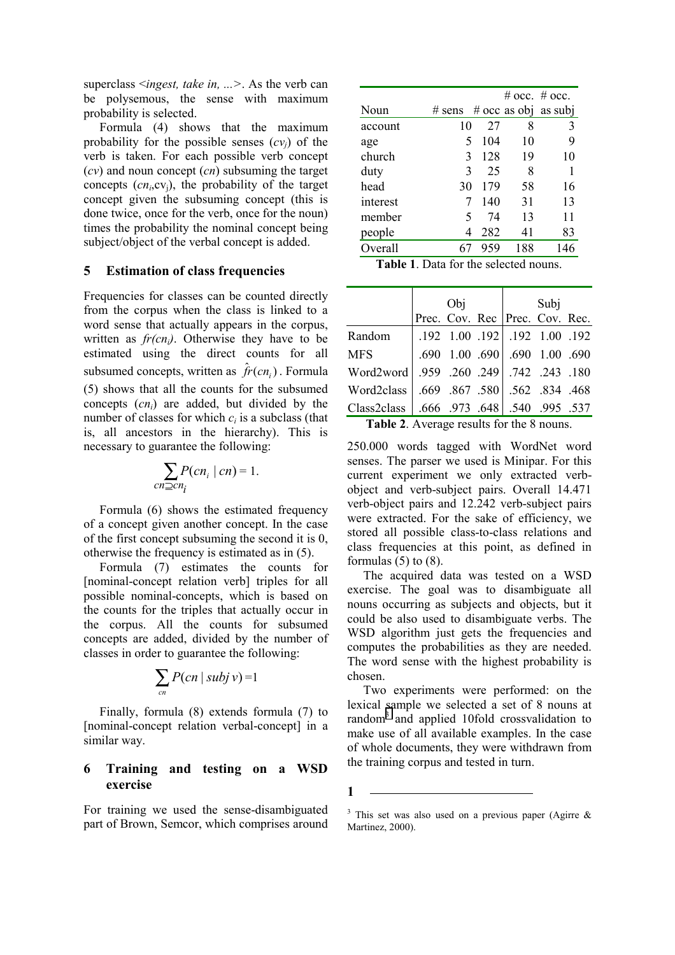superclass <*ingest, take in, ...>*. As the verb can be polysemous, the sense with maximum probability is selected.

Formula (4) shows that the maximum probability for the possible senses  $(cv_i)$  of the verb is taken. For each possible verb concept (*cv*) and noun concept (*cn*) subsuming the target concepts (*cni*,cvj), the probability of the target concept given the subsuming concept (this is done twice, once for the verb, once for the noun) times the probability the nominal concept being subject/object of the verbal concept is added.

### **5 Estimation of class frequencies**

Frequencies for classes can be counted directly from the corpus when the class is linked to a word sense that actually appears in the corpus, written as  $fr(cn_i)$ . Otherwise they have to be estimated using the direct counts for all subsumed concepts, written as  $\hat{f}$   $\hat{r}$  (*cn*, ). Formula (5) shows that all the counts for the subsumed concepts (*cni*) are added, but divided by the number of classes for which  $c_i$  is a subclass (that is, all ancestors in the hierarchy). This is necessary to guarantee the following:

$$
\sum_{cn \supseteq cn_i} P(cn_i \mid cn) = 1.
$$

Formula (6) shows the estimated frequency of a concept given another concept. In the case of the first concept subsuming the second it is 0, otherwise the frequency is estimated as in (5).

Formula (7) estimates the counts for [nominal-concept relation verb] triples for all possible nominal-concepts, which is based on the counts for the triples that actually occur in the corpus. All the counts for subsumed concepts are added, divided by the number of classes in order to guarantee the following:

$$
\sum_{cn} P(cn \mid subj \mid v) = 1
$$

Finally, formula (8) extends formula (7) to [nominal-concept relation verbal-concept] in a similar way.

### **6 Training and testing on a WSD exercise**

For training we used the sense-disambiguated part of Brown, Semcor, which comprises around

|          |          |     |     | # $\sec$ . # $\sec$ . |
|----------|----------|-----|-----|-----------------------|
| Noun     | $#$ sens |     |     | # occ as obj as subj  |
| account  | 10       | 27  | 8   | 3                     |
| age      | 5        | 104 | 10  | 9                     |
| church   | 3        | 128 | 19  | 10                    |
| duty     | 3        | 25  | 8   | 1                     |
| head     | 30       | 179 | 58  | 16                    |
| interest |          | 140 | 31  | 13                    |
| member   | 5        | 74  | 13  | 11                    |
| people   | 4        | 282 | 41  | 83                    |
| Overall  |          | 959 | 188 | 146                   |
|          |          |     |     |                       |

| <b>Table 1.</b> Data for the selected nouns. |  |
|----------------------------------------------|--|
|----------------------------------------------|--|

|                                                                                 | Obj |                                | Subj |  |
|---------------------------------------------------------------------------------|-----|--------------------------------|------|--|
|                                                                                 |     | Prec. Cov. Rec Prec. Cov. Rec. |      |  |
| Random                                                                          |     | .192 1.00 .192 .192 1.00 .192  |      |  |
| <b>MFS</b>                                                                      |     | .690 1.00 .690 .690 1.00 .690  |      |  |
| Vord2word 959 .260 .249 .742 .243 .180                                          |     |                                |      |  |
| Word2class 669 .867 .580 .562 .834 .468                                         |     |                                |      |  |
| Class2class   .666 .973 .648   .540 .995 .537                                   |     |                                |      |  |
| $\mathbf{T}_{\alpha}$ kla $\mathbf{A}$ A stanaga nagulta fan tha $\Omega$ nauna |     |                                |      |  |

**Table 2**. Average results for the 8 nouns.

250.000 words tagged with WordNet word senses. The parser we used is Minipar. For this current experiment we only extracted verbobject and verb-subject pairs. Overall 14.471 verb-object pairs and 12.242 verb-subject pairs were extracted. For the sake of efficiency, we stored all possible class-to-class relations and class frequencies at this point, as defined in formulas  $(5)$  to  $(8)$ .

The acquired data was tested on a WSD exercise. The goal was to disambiguate all nouns occurring as subjects and objects, but it could be also used to disambiguate verbs. The WSD algorithm just gets the frequencies and computes the probabilities as they are needed. The word sense with the highest probability is chosen.

Two experiments were performed: on the lexical sample we selected a set of 8 nouns at random<sup>3</sup> and applied 10fold crossvalidation to make use of all available examples. In the case of whole documents, they were withdrawn from the training corpus and tested in turn.

**1** 

<sup>&</sup>lt;sup>3</sup> This set was also used on a previous paper (Agirre  $\&$ Martinez, 2000).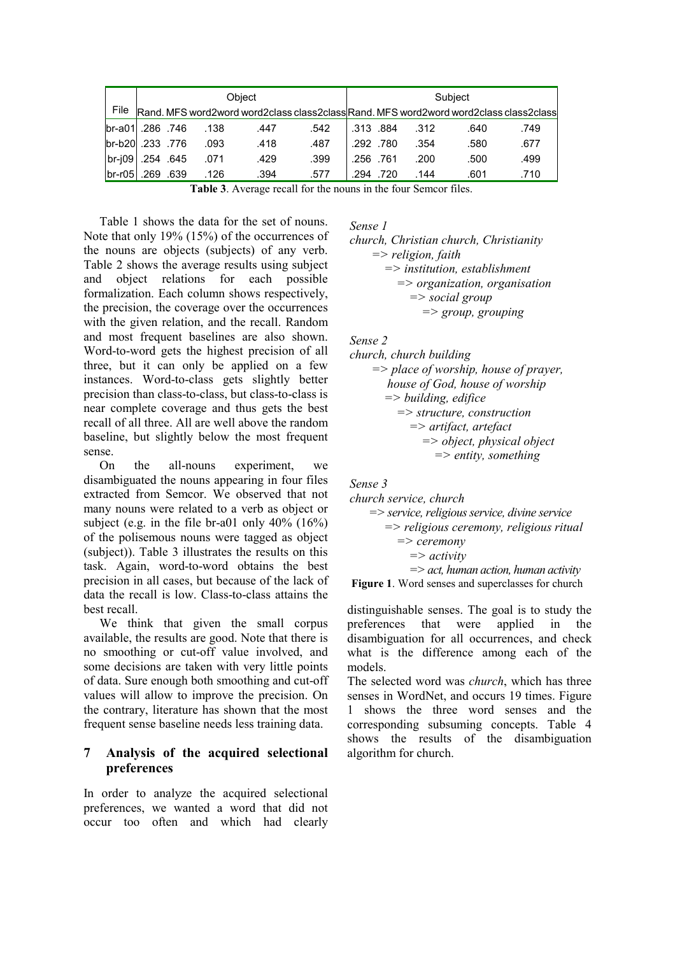|                   |           |           |      | Obiect |      |           |      |      | Subject |                                                                                      |
|-------------------|-----------|-----------|------|--------|------|-----------|------|------|---------|--------------------------------------------------------------------------------------|
| File              |           |           |      |        |      |           |      |      |         | Rand. MFS word2word word2class class2classRand. MFS word2word word2class class2class |
| 746. 286. lbr-a01 |           |           | .138 | .447   | .542 | .313.884  |      | .312 | .640    | .749                                                                                 |
| 776. 233. br-b20  |           |           | .093 | .418   | .487 | .292.780  |      | .354 | .580    | .677                                                                                 |
| $br-i09$          | .254 .645 |           | .071 | .429   | .399 | .256 .761 |      | .200 | .500    | .499                                                                                 |
| $br-r05$          |           | .269 .639 | .126 | .394   | .577 | .294      | .720 | .144 | .601    | .710                                                                                 |

**Table 3**. Average recall for the nouns in the four Semcor files.

Table 1 shows the data for the set of nouns. Note that only 19% (15%) of the occurrences of the nouns are objects (subjects) of any verb. Table 2 shows the average results using subject and object relations for each possible formalization. Each column shows respectively, the precision, the coverage over the occurrences with the given relation, and the recall. Random and most frequent baselines are also shown. Word-to-word gets the highest precision of all three, but it can only be applied on a few instances. Word-to-class gets slightly better precision than class-to-class, but class-to-class is near complete coverage and thus gets the best recall of all three. All are well above the random baseline, but slightly below the most frequent sense.

On the all-nouns experiment, we disambiguated the nouns appearing in four files extracted from Semcor. We observed that not many nouns were related to a verb as object or subject (e.g. in the file br-a01 only 40% (16%) of the polisemous nouns were tagged as object (subject)). Table 3 illustrates the results on this task. Again, word-to-word obtains the best precision in all cases, but because of the lack of data the recall is low. Class-to-class attains the best recall.

We think that given the small corpus available, the results are good. Note that there is no smoothing or cut-off value involved, and some decisions are taken with very little points of data. Sure enough both smoothing and cut-off values will allow to improve the precision. On the contrary, literature has shown that the most frequent sense baseline needs less training data.

### **7 Analysis of the acquired selectional preferences**

In order to analyze the acquired selectional preferences, we wanted a word that did not occur too often and which had clearly

*Sense 1* 

*church, Christian church, Christianity => religion, faith => institution, establishment => organization, organisation => social group => group, grouping* 

*Sense 2* 

*church, church building => place of worship, house of prayer, house of God, house of worship => building, edifice => structure, construction => artifact, artefact => object, physical object => entity, something* 

*Sense 3* 

*church service, church => service, religious service, divine service => religious ceremony, religious ritual => ceremony => activity => act, human action, human activity*

**Figure 1**. Word senses and superclasses for church

distinguishable senses. The goal is to study the preferences that were applied in the disambiguation for all occurrences, and check what is the difference among each of the models.

The selected word was *church*, which has three senses in WordNet, and occurs 19 times. Figure 1 shows the three word senses and the corresponding subsuming concepts. Table 4 shows the results of the disambiguation algorithm for church.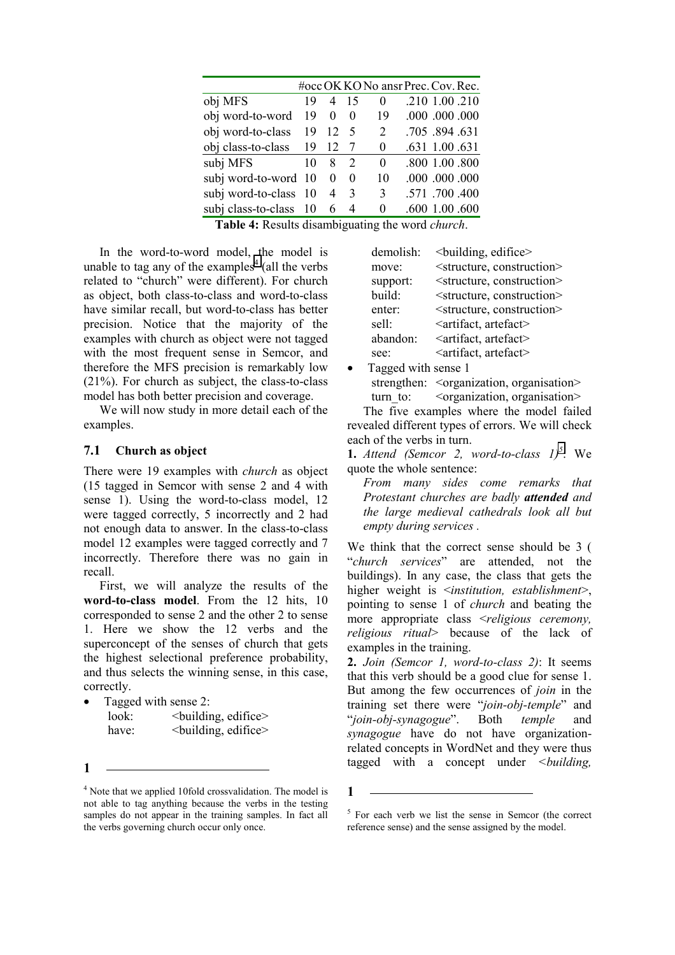|                        |                |               |                | #occ OK KO No ansr Prec. Cov. Rec. |
|------------------------|----------------|---------------|----------------|------------------------------------|
| 19                     | 4              | 15            | $\Omega$       | .210 1.00 .210                     |
| 19                     | $\theta$       | $\Omega$      | 19             | .000.000.000                       |
| 19                     | 12             | -5            | $\overline{2}$ | .705 .894 .631                     |
| 19                     | 12             |               | $\Omega$       | .631 1.00 .631                     |
| 10                     | 8              | 2             | 0              | .800 1.00 .800                     |
| subj word-to-word 10   | $\Omega$       | $\theta$      | 10             | .000.000.000                       |
| subj word-to-class 10  | $\overline{4}$ | $\mathcal{E}$ | 3              | .571 .700 .400                     |
| subj class-to-class 10 | 6              | 4             | $\Omega$       | .600 1.00 .600                     |
|                        |                |               |                |                                    |

**Table 4:** Results disambiguating the word *church*.

In the word-to-word model, the model is unable to tag any of the examples<sup>4</sup> (all the verbs related to "church" were different). For church as object, both class-to-class and word-to-class have similar recall, but word-to-class has better precision. Notice that the majority of the examples with church as object were not tagged with the most frequent sense in Semcor, and therefore the MFS precision is remarkably low (21%). For church as subject, the class-to-class model has both better precision and coverage.

We will now study in more detail each of the examples.

#### **7.1 Church as object**

There were 19 examples with *church* as object (15 tagged in Semcor with sense 2 and 4 with sense 1). Using the word-to-class model, 12 were tagged correctly, 5 incorrectly and 2 had not enough data to answer. In the class-to-class model 12 examples were tagged correctly and 7 incorrectly. Therefore there was no gain in recall.

First, we will analyze the results of the **word-to-class model**. From the 12 hits, 10 corresponded to sense 2 and the other 2 to sense 1. Here we show the 12 verbs and the superconcept of the senses of church that gets the highest selectional preference probability, and thus selects the winning sense, in this case, correctly.

- Tagged with sense 2: look:  $\leq$ building, edifice> have:  $\leq$   $\leq$   $\leq$   $\leq$   $\leq$   $\leq$   $\leq$   $\leq$   $\leq$   $\leq$   $\leq$   $\leq$   $\leq$   $\leq$   $\leq$   $\leq$   $\leq$   $\leq$   $\leq$   $\leq$   $\leq$   $\leq$   $\leq$   $\leq$   $\leq$   $\leq$   $\leq$   $\leq$   $\leq$   $\leq$   $\leq$   $\leq$   $\leq$   $\leq$   $\leq$   $\leq$
- **1**

| demolish: | <br>building, edifice>                    |
|-----------|-------------------------------------------|
| move:     | <structure, construction=""></structure,> |
| support:  | <structure, construction=""></structure,> |
| build:    | <structure, construction=""></structure,> |
| enter:    | <structure, construction=""></structure,> |
| sell:     | <artifact, artefact=""></artifact,>       |
| abandon:  | <artifact, artefact=""></artifact,>       |
| see:      | <artifact, artefact=""></artifact,>       |
|           |                                           |

• Tagged with sense 1 strengthen: < organization, organisation> turn to: < organization, organisation>

The five examples where the model failed revealed different types of errors. We will check each of the verbs in turn.

**1.** *Attend (Semcor 2, word-to-class*  $1^5$ *: We* quote the whole sentence:

*From many sides come remarks that Protestant churches are badly attended and the large medieval cathedrals look all but empty during services .* 

We think that the correct sense should be 3 ( "*church services*" are attended, not the buildings). In any case, the class that gets the higher weight is <*institution, establishment*>, pointing to sense 1 of *church* and beating the more appropriate class <*religious ceremony, religious ritual*> because of the lack of examples in the training.

**2.** *Join (Semcor 1, word-to-class 2)*: It seems that this verb should be a good clue for sense 1. But among the few occurrences of *join* in the training set there were "*join-obj-temple*" and "*join-obj-synagogue*". Both *temple* and *synagogue* have do not have organizationrelated concepts in WordNet and they were thus tagged with a concept under *<building,* 

**1** 

<sup>&</sup>lt;sup>4</sup> Note that we applied 10fold crossvalidation. The model is not able to tag anything because the verbs in the testing samples do not appear in the training samples. In fact all the verbs governing church occur only once.

<sup>&</sup>lt;sup>5</sup> For each verb we list the sense in Semcor (the correct reference sense) and the sense assigned by the model.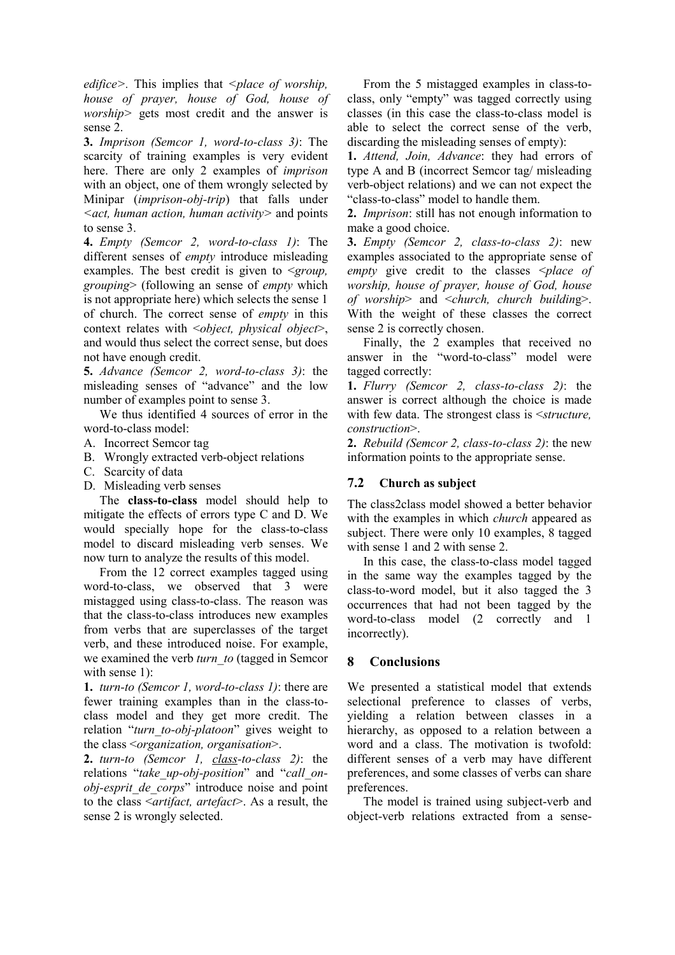*edifice>.* This implies that *<place of worship, house of prayer, house of God, house of worship>* gets most credit and the answer is sense 2.

**3.** *Imprison (Semcor 1, word-to-class 3)*: The scarcity of training examples is very evident here. There are only 2 examples of *imprison* with an object, one of them wrongly selected by Minipar (*imprison-obj-trip*) that falls under *<act, human action, human activity>* and points to sense 3.

**4.** *Empty (Semcor 2, word-to-class 1)*: The different senses of *empty* introduce misleading examples. The best credit is given to <*group, grouping*> (following an sense of *empty* which is not appropriate here) which selects the sense 1 of church. The correct sense of *empty* in this context relates with <*object, physical object*>, and would thus select the correct sense, but does not have enough credit.

**5.** *Advance (Semcor 2, word-to-class 3)*: the misleading senses of "advance" and the low number of examples point to sense 3.

We thus identified 4 sources of error in the word-to-class model:

- A. Incorrect Semcor tag
- B. Wrongly extracted verb-object relations
- C. Scarcity of data
- D. Misleading verb senses

The **class-to-class** model should help to mitigate the effects of errors type C and D. We would specially hope for the class-to-class model to discard misleading verb senses. We now turn to analyze the results of this model.

From the 12 correct examples tagged using word-to-class, we observed that 3 were mistagged using class-to-class. The reason was that the class-to-class introduces new examples from verbs that are superclasses of the target verb, and these introduced noise. For example, we examined the verb *turn\_to* (tagged in Semcor with sense 1):

**1.** *turn-to (Semcor 1, word-to-class 1)*: there are fewer training examples than in the class-toclass model and they get more credit. The relation "*turn\_to-obj-platoon*" gives weight to the class <*organization, organisation*>.

**2.** *turn-to (Semcor 1, class-to-class 2)*: the relations "*take\_up-obj-position*" and "*call\_onobj-esprit\_de\_corps*" introduce noise and point to the class <*artifact, artefact*>. As a result, the sense 2 is wrongly selected.

From the 5 mistagged examples in class-toclass, only "empty" was tagged correctly using classes (in this case the class-to-class model is able to select the correct sense of the verb, discarding the misleading senses of empty):

**1.** *Attend, Join, Advance*: they had errors of type A and B (incorrect Semcor tag/ misleading verb-object relations) and we can not expect the "class-to-class" model to handle them.

**2.** *Imprison*: still has not enough information to make a good choice.

**3.** *Empty (Semcor 2, class-to-class 2)*: new examples associated to the appropriate sense of *empty* give credit to the classes <*place of worship, house of prayer, house of God, house of worship*> and <*church, church buildin*g>. With the weight of these classes the correct sense 2 is correctly chosen.

Finally, the 2 examples that received no answer in the "word-to-class" model were tagged correctly:

**1.** *Flurry (Semcor 2, class-to-class 2)*: the answer is correct although the choice is made with few data. The strongest class is <*structure, construction*>.

**2.** *Rebuild (Semcor 2, class-to-class 2)*: the new information points to the appropriate sense.

### **7.2 Church as subject**

The class2class model showed a better behavior with the examples in which *church* appeared as subject. There were only 10 examples, 8 tagged with sense 1 and 2 with sense 2.

In this case, the class-to-class model tagged in the same way the examples tagged by the class-to-word model, but it also tagged the 3 occurrences that had not been tagged by the word-to-class model (2 correctly and 1 incorrectly).

### **8 Conclusions**

We presented a statistical model that extends selectional preference to classes of verbs, yielding a relation between classes in a hierarchy, as opposed to a relation between a word and a class. The motivation is twofold: different senses of a verb may have different preferences, and some classes of verbs can share preferences.

The model is trained using subject-verb and object-verb relations extracted from a sense